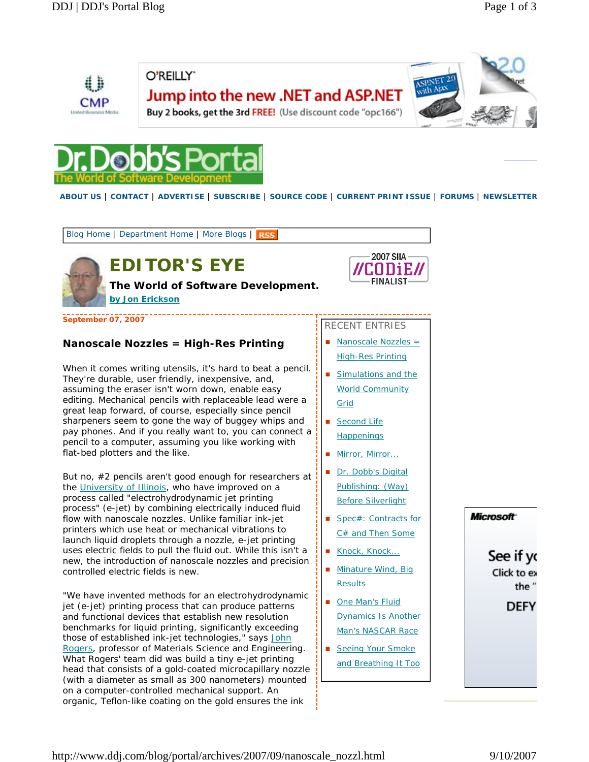

O'REILLY" Jump into the new .NET and ASP.NET



Buy 2 books, get the 3rd FREE! (Use discount code "opc166")



**ABOUT US** | **CONTACT** | **ADVERTISE** | **SUBSCRIBE** | **SOURCE CODE** | **CURRENT PRINT ISSUE** | **FORUMS** | **NEWSLETTER**

Blog Home | Department Home | More Blogs | RSS



# **EDITOR'S EYE**

**The World of Software Development.** 

**by Jon Erickson**

i, **September 07, 2007**

### **Nanoscale Nozzles = High-Res Printing**

When it comes writing utensils, it's hard to beat a pencil. They're durable, user friendly, inexpensive, and, assuming the eraser isn't worn down, enable easy editing. Mechanical pencils with replaceable lead were a great leap forward, of course, especially since pencil sharpeners seem to gone the way of buggey whips and pay phones. And if you really want to, you can connect a pencil to a computer, assuming you like working with flat-bed plotters and the like.

But no, #2 pencils aren't good enough for researchers at the University of Illinois, who have improved on a process called "electrohydrodynamic jet printing process" (e-jet) by combining electrically induced fluid flow with nanoscale nozzles. Unlike familiar ink-jet printers which use heat or mechanical vibrations to launch liquid droplets through a nozzle, e-jet printing uses electric fields to pull the fluid out. While this isn't a new, the introduction of nanoscale nozzles and precision controlled electric fields is new.

"We have invented methods for an electrohydrodynamic jet (e-jet) printing process that can produce patterns and functional devices that establish new resolution benchmarks for liquid printing, significantly exceeding those of established ink-jet technologies," says John Rogers, professor of Materials Science and Engineering. What Rogers' team did was build a tiny e-jet printing head that consists of a gold-coated microcapillary nozzle (with a diameter as small as 300 nanometers) mounted on a computer-controlled mechanical support. An organic, Teflon-like coating on the gold ensures the ink



| RECENT ENTRIES |                          |  |  |  |  |
|----------------|--------------------------|--|--|--|--|
| $\blacksquare$ | Nanoscale Nozzles =      |  |  |  |  |
|                | <b>High-Res Printing</b> |  |  |  |  |
| $\mathbf{r}$   | Simulations and the      |  |  |  |  |

- World Community Grid
- Second Life **Happenings**
- Mirror, Mirror...
- Dr. Dobb's Digital Publishing: (Way) Before Silverlight
- Spec#: Contracts for C# and Then Some
- Knock, Knock...
- Minature Wind, Big **Results**
- One Man's Fluid Dynamics Is Another Man's NASCAR Race
- **Seeing Your Smoke** and Breathing It Too



See if yo Click to ex the"

**DEFY**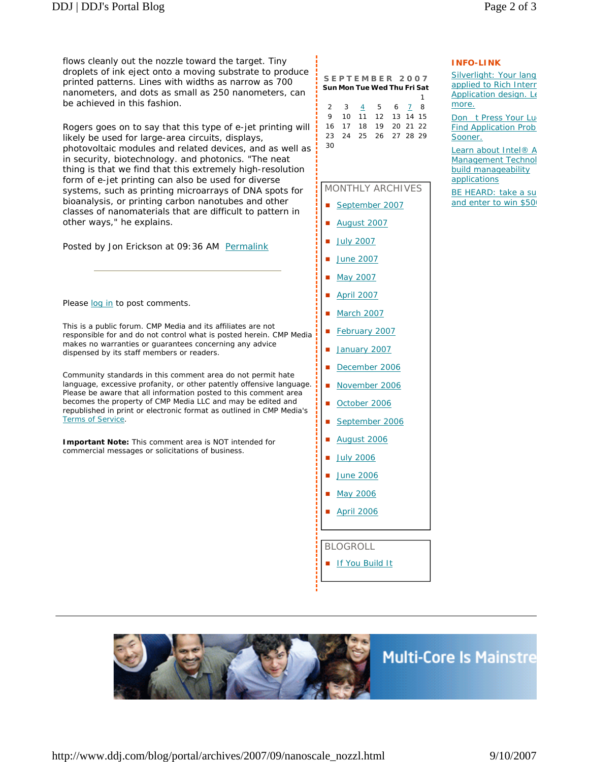flows cleanly out the nozzle toward the target. Tiny droplets of ink eject onto a moving substrate to produce printed patterns. Lines with widths as narrow as 700 nanometers, and dots as small as 250 nanometers, can be achieved in this fashion.

Rogers goes on to say that this type of e-jet printing will likely be used for large-area circuits, displays, photovoltaic modules and related devices, and as well as in security, biotechnology. and photonics. "The neat thing is that we find that this extremely high-resolution form of e-jet printing can also be used for diverse systems, such as printing microarrays of DNA spots for bioanalysis, or printing carbon nanotubes and other classes of nanomaterials that are difficult to pattern in other ways," he explains.

Posted by Jon Erickson at 09:36 AM Permalink

Please log in to post comments.

This is a public forum. CMP Media and its affiliates are not responsible for and do not control what is posted herein. CMP Media makes no warranties or guarantees concerning any advice dispensed by its staff members or readers.

Community standards in this comment area do not permit hate language, excessive profanity, or other patently offensive language. Please be aware that all information posted to this comment area becomes the property of CMP Media LLC and may be edited and republished in print or electronic format as outlined in CMP Media's Terms of Service.

**Important Note:** This comment area is NOT intended for commercial messages or solicitations of business.

| SEPTEMBER 2007              |  |  |  |  |  |  |  |  |  |  |  |
|-----------------------------|--|--|--|--|--|--|--|--|--|--|--|
| Sun Mon Tue Wed Thu Fri Sat |  |  |  |  |  |  |  |  |  |  |  |
|                             |  |  |  |  |  |  |  |  |  |  |  |

|    |  | 2 3 4 5 6 7 8        |  |  |
|----|--|----------------------|--|--|
|    |  | 9 10 11 12 13 14 15  |  |  |
|    |  | 16 17 18 19 20 21 22 |  |  |
|    |  | 23 24 25 26 27 28 29 |  |  |
| 30 |  |                      |  |  |

#### MONTHLY ARCHIVES

- September 2007
- August 2007
- July 2007
- June 2007
- May 2007
- April 2007
- **March 2007**
- February 2007
- January 2007
- December 2006
- November 2006
- October 2006
- September 2006
- August 2006
- July 2006
- June 2006
- May 2006
- April 2006

BLOGROLL

**If You Build It** 



## **INFO-LINK**

Silverlight: Your lang applied to Rich Interr Application design. Le more.

Don t Press Your Lu Find Application Prob Sooner.

Learn about Intel® A Management Technol build manageability applications

BE HEARD: take a su and enter to win \$500